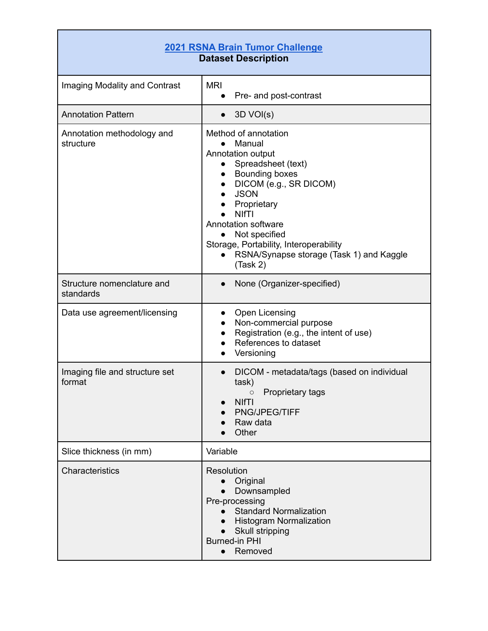| 2021 RSNA Brain Tumor Challenge<br><b>Dataset Description</b> |                                                                                                                                                                                                                                                                                                                                                                                |
|---------------------------------------------------------------|--------------------------------------------------------------------------------------------------------------------------------------------------------------------------------------------------------------------------------------------------------------------------------------------------------------------------------------------------------------------------------|
| Imaging Modality and Contrast                                 | <b>MRI</b><br>Pre- and post-contrast                                                                                                                                                                                                                                                                                                                                           |
| <b>Annotation Pattern</b>                                     | 3D VOI(s)                                                                                                                                                                                                                                                                                                                                                                      |
| Annotation methodology and<br>structure                       | Method of annotation<br>Manual<br>Annotation output<br>Spreadsheet (text)<br>$\bullet$<br>Bounding boxes<br>$\bullet$<br>DICOM (e.g., SR DICOM)<br>$\bullet$<br><b>JSON</b><br>$\bullet$<br>Proprietary<br><b>NIfTI</b><br>Annotation software<br>Not specified<br>Storage, Portability, Interoperability<br>RSNA/Synapse storage (Task 1) and Kaggle<br>$\bullet$<br>(Task 2) |
| Structure nomenclature and<br>standards                       | None (Organizer-specified)<br>$\bullet$                                                                                                                                                                                                                                                                                                                                        |
| Data use agreement/licensing                                  | Open Licensing<br>$\bullet$<br>Non-commercial purpose<br>$\bullet$<br>Registration (e.g., the intent of use)<br>$\bullet$<br>References to dataset<br>Versioning<br>$\bullet$                                                                                                                                                                                                  |
| Imaging file and structure set<br>format                      | DICOM - metadata/tags (based on individual<br>$\bullet$<br>task)<br>Proprietary tags<br>O<br><b>NIfTI</b><br>PNG/JPEG/TIFF<br>Raw data<br>Other                                                                                                                                                                                                                                |
| Slice thickness (in mm)                                       | Variable                                                                                                                                                                                                                                                                                                                                                                       |
| Characteristics                                               | Resolution<br>Original<br>$\bullet$<br>Downsampled<br>Pre-processing<br><b>Standard Normalization</b><br><b>Histogram Normalization</b><br>Skull stripping<br><b>Burned-in PHI</b><br>Removed<br>$\bullet$                                                                                                                                                                     |